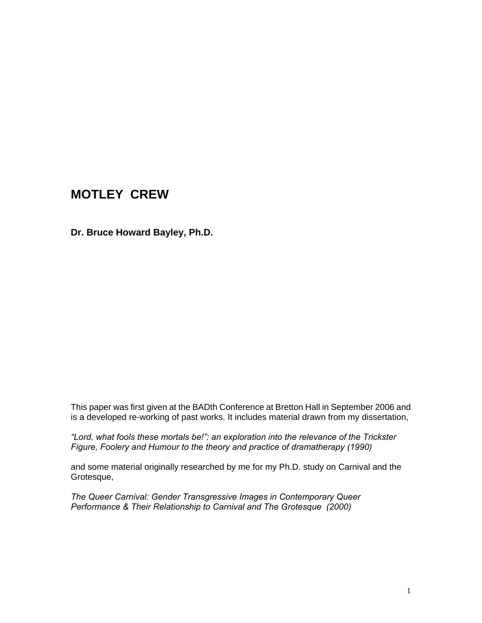# **MOTLEY CREW**

**Dr. Bruce Howard Bayley, Ph.D.**

This paper was first given at the BADth Conference at Bretton Hall in September 2006 and is a developed re-working of past works. It includes material drawn from my dissertation,

*"Lord, what fools these mortals be!": an exploration into the relevance of the Trickster Figure, Foolery and Humour to the theory and practice of dramatherapy (1990)* 

and some material originally researched by me for my Ph.D. study on Carnival and the Grotesque,

*The Queer Carnival: Gender Transgressive Images in Contemporary Queer Performance & Their Relationship to Carnival and The Grotesque (2000)*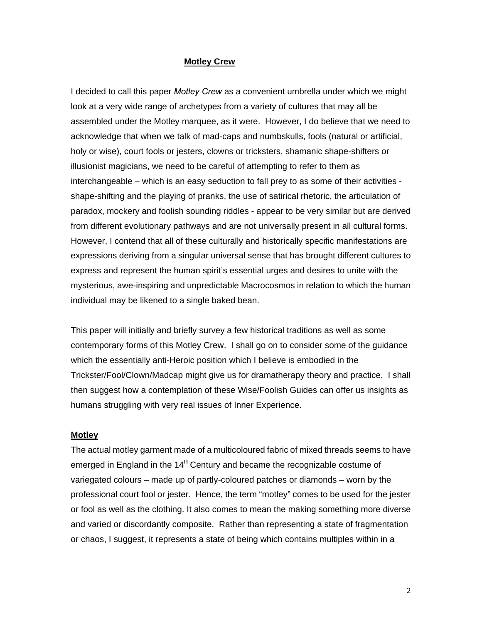#### **Motley Crew**

I decided to call this paper *Motley Crew* as a convenient umbrella under which we might look at a very wide range of archetypes from a variety of cultures that may all be assembled under the Motley marquee, as it were. However, I do believe that we need to acknowledge that when we talk of mad-caps and numbskulls, fools (natural or artificial, holy or wise), court fools or jesters, clowns or tricksters, shamanic shape-shifters or illusionist magicians, we need to be careful of attempting to refer to them as interchangeable – which is an easy seduction to fall prey to as some of their activities shape-shifting and the playing of pranks, the use of satirical rhetoric, the articulation of paradox, mockery and foolish sounding riddles - appear to be very similar but are derived from different evolutionary pathways and are not universally present in all cultural forms. However, I contend that all of these culturally and historically specific manifestations are expressions deriving from a singular universal sense that has brought different cultures to express and represent the human spirit's essential urges and desires to unite with the mysterious, awe-inspiring and unpredictable Macrocosmos in relation to which the human individual may be likened to a single baked bean.

This paper will initially and briefly survey a few historical traditions as well as some contemporary forms of this Motley Crew. I shall go on to consider some of the guidance which the essentially anti-Heroic position which I believe is embodied in the Trickster/Fool/Clown/Madcap might give us for dramatherapy theory and practice. I shall then suggest how a contemplation of these Wise/Foolish Guides can offer us insights as humans struggling with very real issues of Inner Experience.

#### **Motley**

The actual motley garment made of a multicoloured fabric of mixed threads seems to have emerged in England in the  $14<sup>th</sup>$  Century and became the recognizable costume of variegated colours – made up of partly-coloured patches or diamonds – worn by the professional court fool or jester. Hence, the term "motley" comes to be used for the jester or fool as well as the clothing. It also comes to mean the making something more diverse and varied or discordantly composite. Rather than representing a state of fragmentation or chaos, I suggest, it represents a state of being which contains multiples within in a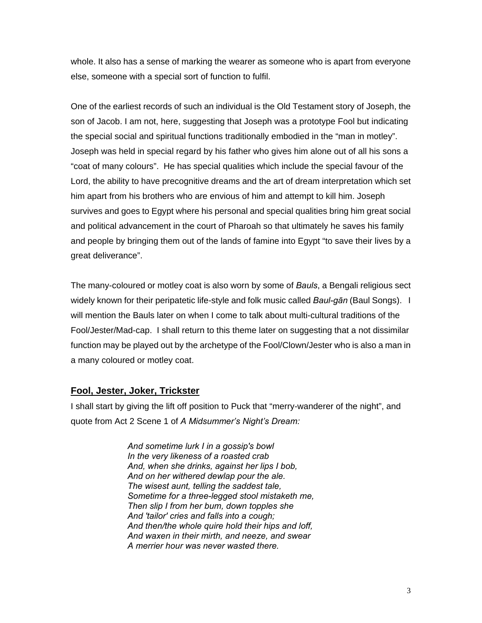whole. It also has a sense of marking the wearer as someone who is apart from everyone else, someone with a special sort of function to fulfil.

One of the earliest records of such an individual is the Old Testament story of Joseph, the son of Jacob. I am not, here, suggesting that Joseph was a prototype Fool but indicating the special social and spiritual functions traditionally embodied in the "man in motley". Joseph was held in special regard by his father who gives him alone out of all his sons a "coat of many colours". He has special qualities which include the special favour of the Lord, the ability to have precognitive dreams and the art of dream interpretation which set him apart from his brothers who are envious of him and attempt to kill him. Joseph survives and goes to Egypt where his personal and special qualities bring him great social and political advancement in the court of Pharoah so that ultimately he saves his family and people by bringing them out of the lands of famine into Egypt "to save their lives by a great deliverance".

The many-coloured or motley coat is also worn by some of *Bauls*, a Bengali religious sect widely known for their peripatetic life-style and folk music called *Baul-gān* (Baul Songs). I will mention the Bauls later on when I come to talk about multi-cultural traditions of the Fool/Jester/Mad-cap. I shall return to this theme later on suggesting that a not dissimilar function may be played out by the archetype of the Fool/Clown/Jester who is also a man in a many coloured or motley coat.

# **Fool, Jester, Joker, Trickster**

I shall start by giving the lift off position to Puck that "merry-wanderer of the night", and quote from Act 2 Scene 1 of *A Midsummer's Night's Dream:* 

> *And sometime lurk I in a gossip's bowl In the very likeness of a roasted crab And, when she drinks, against her lips I bob, And on her withered dewlap pour the ale. The wisest aunt, telling the saddest tale, Sometime for a three-legged stool mistaketh me, Then slip I from her bum, down topples she And 'tailor' cries and falls into a cough; And then/the whole quire hold their hips and loff, And waxen in their mirth, and neeze, and swear A merrier hour was never wasted there.*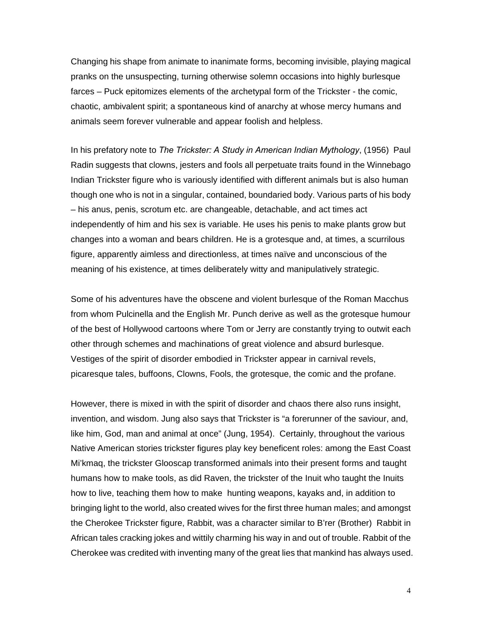Changing his shape from animate to inanimate forms, becoming invisible, playing magical pranks on the unsuspecting, turning otherwise solemn occasions into highly burlesque farces – Puck epitomizes elements of the archetypal form of the Trickster - the comic, chaotic, ambivalent spirit; a spontaneous kind of anarchy at whose mercy humans and animals seem forever vulnerable and appear foolish and helpless.

In his prefatory note to *The Trickster: A Study in American Indian Mythology*, (1956) Paul Radin suggests that clowns, jesters and fools all perpetuate traits found in the Winnebago Indian Trickster figure who is variously identified with different animals but is also human though one who is not in a singular, contained, boundaried body. Various parts of his body – his anus, penis, scrotum etc. are changeable, detachable, and act times act independently of him and his sex is variable. He uses his penis to make plants grow but changes into a woman and bears children. He is a grotesque and, at times, a scurrilous figure, apparently aimless and directionless, at times naïve and unconscious of the meaning of his existence, at times deliberately witty and manipulatively strategic.

Some of his adventures have the obscene and violent burlesque of the Roman Macchus from whom Pulcinella and the English Mr. Punch derive as well as the grotesque humour of the best of Hollywood cartoons where Tom or Jerry are constantly trying to outwit each other through schemes and machinations of great violence and absurd burlesque. Vestiges of the spirit of disorder embodied in Trickster appear in carnival revels, picaresque tales, buffoons, Clowns, Fools, the grotesque, the comic and the profane.

However, there is mixed in with the spirit of disorder and chaos there also runs insight, invention, and wisdom. Jung also says that Trickster is "a forerunner of the saviour, and, like him, God, man and animal at once" (Jung, 1954). Certainly, throughout the various Native American stories trickster figures play key beneficent roles: among the East Coast Mi'kmaq, the trickster Glooscap transformed animals into their present forms and taught humans how to make tools, as did Raven, the trickster of the Inuit who taught the Inuits how to live, teaching them how to make hunting weapons, kayaks and, in addition to bringing light to the world, also created wives for the first three human males; and amongst the Cherokee Trickster figure, Rabbit, was a character similar to B'rer (Brother) Rabbit in African tales cracking jokes and wittily charming his way in and out of trouble. Rabbit of the Cherokee was credited with inventing many of the great lies that mankind has always used.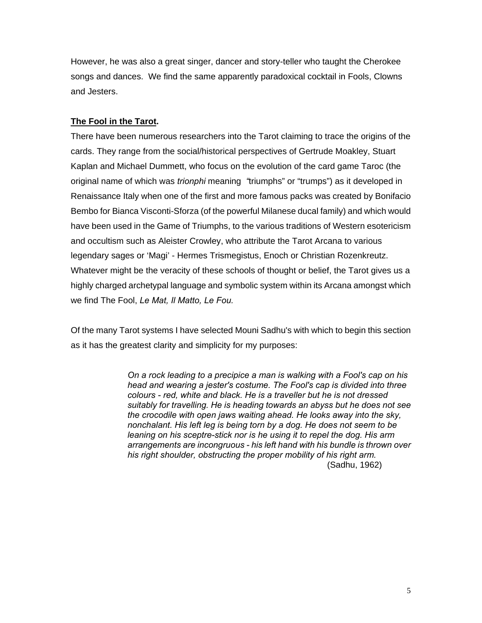However, he was also a great singer, dancer and story-teller who taught the Cherokee songs and dances. We find the same apparently paradoxical cocktail in Fools, Clowns and Jesters.

# **The Fool in the Tarot.**

There have been numerous researchers into the Tarot claiming to trace the origins of the cards. They range from the social/historical perspectives of Gertrude Moakley, Stuart Kaplan and Michael Dummett, who focus on the evolution of the card game Taroc (the original name of which was *trionphi* meaning *"*triumphs" or "trumps") as it developed in Renaissance Italy when one of the first and more famous packs was created by Bonifacio Bembo for Bianca Visconti-Sforza (of the powerful Milanese ducal family) and which would have been used in the Game of Triumphs, to the various traditions of Western esotericism and occultism such as Aleister Crowley, who attribute the Tarot Arcana to various legendary sages or 'Magi' - Hermes Trismegistus, Enoch or Christian Rozenkreutz. Whatever might be the veracity of these schools of thought or belief, the Tarot gives us a highly charged archetypal language and symbolic system within its Arcana amongst which we find The Fool, *Le Mat, Il Matto, Le Fou.* 

Of the many Tarot systems I have selected Mouni Sadhu's with which to begin this section as it has the greatest clarity and simplicity for my purposes:

> *On a rock leading to a precipice a man is walking with a Fool's cap on his head and wearing a jester's costume. The Fool's cap is divided into three colours - red, white and black. He is a traveller but he is not dressed suitably for travelling. He is heading towards an abyss but he does not see the crocodile with open jaws waiting ahead. He looks away into the sky, nonchalant. His left leg is being torn by a dog. He does not seem to be leaning on his sceptre-stick nor is he using it to repel the dog. His arm arrangements are incongruous - his left hand with his bundle is thrown over his right shoulder, obstructing the proper mobility of his right arm.* (Sadhu, 1962)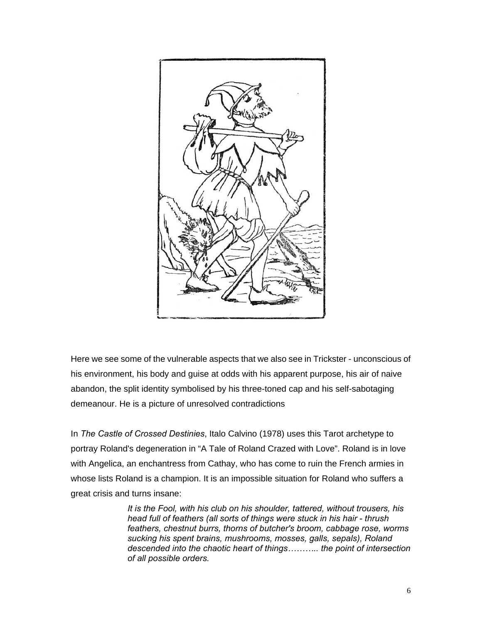

Here we see some of the vulnerable aspects that we also see in Trickster - unconscious of his environment, his body and guise at odds with his apparent purpose, his air of naive abandon, the split identity symbolised by his three-toned cap and his self-sabotaging demeanour. He is a picture of unresolved contradictions

In *The Castle of Crossed Destinies*, Italo Calvino (1978) uses this Tarot archetype to portray Roland's degeneration in "A Tale of Roland Crazed with Love". Roland is in love with Angelica, an enchantress from Cathay, who has come to ruin the French armies in whose lists Roland is a champion. It is an impossible situation for Roland who suffers a great crisis and turns insane:

> *It is the Fool, with his club on his shoulder, tattered, without trousers, his head full of feathers (all sorts of things were stuck in his hair - thrush feathers, chestnut burrs, thorns of butcher's broom, cabbage rose, worms sucking his spent brains, mushrooms, mosses, galls, sepals), Roland descended into the chaotic heart of things……….. the point of intersection of all possible orders.*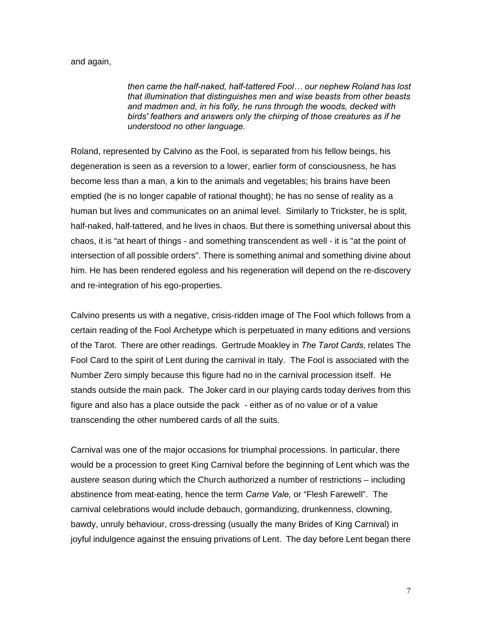#### and again,

*then came the half-naked, half-tattered Fool… our nephew Roland has lost that illumination that distinguishes men and wise beasts from other beasts and madmen and, in his folly, he runs through the woods, decked with birds' feathers and answers only the chirping of those creatures as if he understood no other language.* 

Roland, represented by Calvino as the Fool, is separated from his fellow beings, his degeneration is seen as a reversion to a lower, earlier form of consciousness, he has become less than a man, a kin to the animals and vegetables; his brains have been emptied (he is no longer capable of rational thought); he has no sense of reality as a human but lives and communicates on an animal level. Similarly to Trickster, he is split, half-naked, half-tattered, and he lives in chaos. But there is something universal about this chaos, it is "at heart of things - and something transcendent as well - it is "at the point of intersection of all possible orders". There is something animal and something divine about him. He has been rendered egoless and his regeneration will depend on the re-discovery and re-integration of his ego-properties.

Calvino presents us with a negative, crisis-ridden image of The Fool which follows from a certain reading of the Fool Archetype which is perpetuated in many editions and versions of the Tarot. There are other readings. Gertrude Moakley in *The Tarot Cards,* relates The Fool Card to the spirit of Lent during the carnival in Italy. The Fool is associated with the Number Zero simply because this figure had no in the carnival procession itself. He stands outside the main pack. The Joker card in our playing cards today derives from this figure and also has a place outside the pack - either as of no value or of a value transcending the other numbered cards of all the suits.

Carnival was one of the major occasions for triumphal processions. In particular, there would be a procession to greet King Carnival before the beginning of Lent which was the austere season during which the Church authorized a number of restrictions – including abstinence from meat-eating, hence the term *Carne Vale,* or "Flesh Farewell". The carnival celebrations would include debauch, gormandizing, drunkenness, clowning, bawdy, unruly behaviour, cross-dressing (usually the many Brides of King Carnival) in joyful indulgence against the ensuing privations of Lent. The day before Lent began there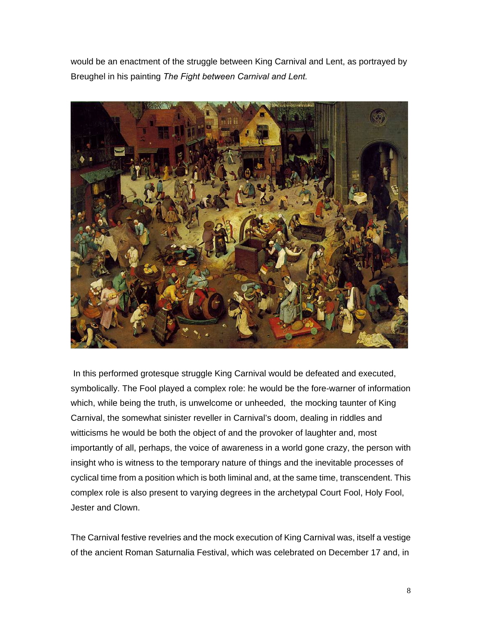would be an enactment of the struggle between King Carnival and Lent, as portrayed by Breughel in his painting *The Fight between Carnival and Lent.* 



In this performed grotesque struggle King Carnival would be defeated and executed, symbolically. The Fool played a complex role: he would be the fore-warner of information which, while being the truth, is unwelcome or unheeded, the mocking taunter of King Carnival, the somewhat sinister reveller in Carnival's doom, dealing in riddles and witticisms he would be both the object of and the provoker of laughter and, most importantly of all, perhaps, the voice of awareness in a world gone crazy, the person with insight who is witness to the temporary nature of things and the inevitable processes of cyclical time from a position which is both liminal and, at the same time, transcendent. This complex role is also present to varying degrees in the archetypal Court Fool, Holy Fool, Jester and Clown.

The Carnival festive revelries and the mock execution of King Carnival was, itself a vestige of the ancient Roman Saturnalia Festival, which was celebrated on December 17 and, in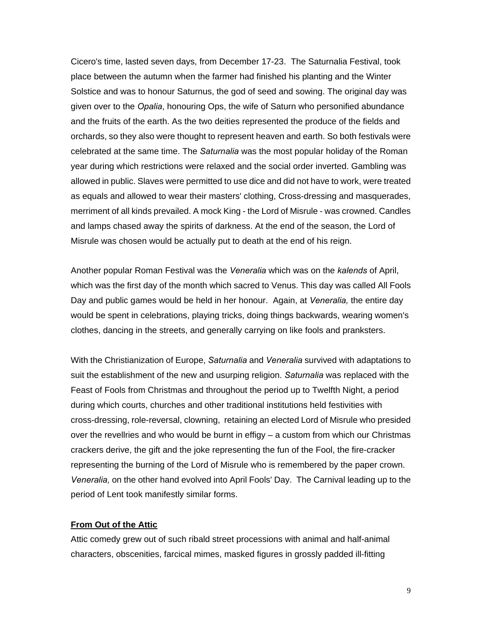Cicero's time, lasted seven days, from December 17-23. The Saturnalia Festival, took place between the autumn when the farmer had finished his planting and the Winter Solstice and was to honour Saturnus, the god of seed and sowing. The original day was given over to the *Opalia*, honouring Ops, the wife of Saturn who personified abundance and the fruits of the earth. As the two deities represented the produce of the fields and orchards, so they also were thought to represent heaven and earth. So both festivals were celebrated at the same time. The *Saturnalia* was the most popular holiday of the Roman year during which restrictions were relaxed and the social order inverted. Gambling was allowed in public. Slaves were permitted to use dice and did not have to work, were treated as equals and allowed to wear their masters' clothing, Cross-dressing and masquerades, merriment of all kinds prevailed. A mock King - the Lord of Misrule - was crowned. Candles and lamps chased away the spirits of darkness. At the end of the season, the Lord of Misrule was chosen would be actually put to death at the end of his reign.

Another popular Roman Festival was the *Veneralia* which was on the *kalends* of April, which was the first day of the month which sacred to Venus. This day was called All Fools Day and public games would be held in her honour. Again, at *Veneralia,* the entire day would be spent in celebrations, playing tricks, doing things backwards, wearing women's clothes, dancing in the streets, and generally carrying on like fools and pranksters.

With the Christianization of Europe, *Saturnalia* and *Veneralia* survived with adaptations to suit the establishment of the new and usurping religion. *Saturnalia* was replaced with the Feast of Fools from Christmas and throughout the period up to Twelfth Night, a period during which courts, churches and other traditional institutions held festivities with cross-dressing, role-reversal, clowning, retaining an elected Lord of Misrule who presided over the revellries and who would be burnt in effigy – a custom from which our Christmas crackers derive, the gift and the joke representing the fun of the Fool, the fire-cracker representing the burning of the Lord of Misrule who is remembered by the paper crown. *Veneralia,* on the other hand evolved into April Fools' Day. The Carnival leading up to the period of Lent took manifestly similar forms.

#### **From Out of the Attic**

Attic comedy grew out of such ribald street processions with animal and half-animal characters, obscenities, farcical mimes, masked figures in grossly padded ill-fitting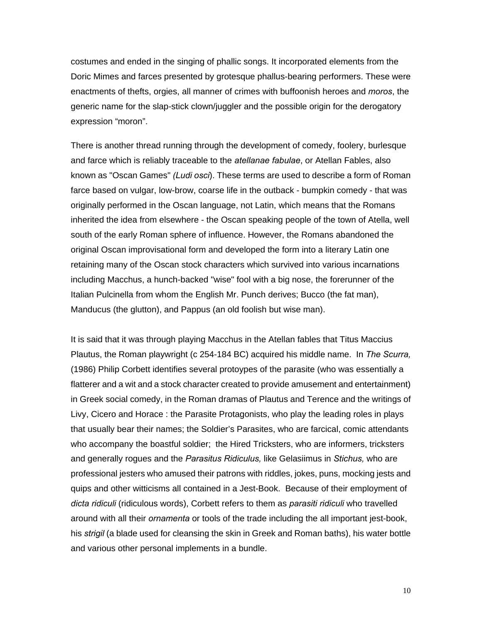costumes and ended in the singing of phallic songs. It incorporated elements from the Doric Mimes and farces presented by grotesque phallus-bearing performers. These were enactments of thefts, orgies, all manner of crimes with buffoonish heroes and *moros*, the generic name for the slap-stick clown/juggler and the possible origin for the derogatory expression "moron".

There is another thread running through the development of comedy, foolery, burlesque and farce which is reliably traceable to the *atellanae fabulae*, or Atellan Fables, also known as "Oscan Games" *(Ludi osci*). These terms are used to describe a form of Roman farce based on vulgar, low-brow, coarse life in the outback - bumpkin comedy - that was originally performed in the Oscan language, not Latin, which means that the Romans inherited the idea from elsewhere - the Oscan speaking people of the town of Atella, well south of the early Roman sphere of influence. However, the Romans abandoned the original Oscan improvisational form and developed the form into a literary Latin one retaining many of the Oscan stock characters which survived into various incarnations including Macchus, a hunch-backed "wise" fool with a big nose, the forerunner of the Italian Pulcinella from whom the English Mr. Punch derives; Bucco (the fat man), Manducus (the glutton), and Pappus (an old foolish but wise man).

It is said that it was through playing Macchus in the Atellan fables that Titus Maccius Plautus, the Roman playwright (c 254-184 BC) acquired his middle name. In *The Scurra,*  (1986) Philip Corbett identifies several protoypes of the parasite (who was essentially a flatterer and a wit and a stock character created to provide amusement and entertainment) in Greek social comedy, in the Roman dramas of Plautus and Terence and the writings of Livy, Cicero and Horace : the Parasite Protagonists, who play the leading roles in plays that usually bear their names; the Soldier's Parasites, who are farcical, comic attendants who accompany the boastful soldier; the Hired Tricksters, who are informers, tricksters and generally rogues and the *Parasitus Ridiculus,* like Gelasiimus in *Stichus,* who are professional jesters who amused their patrons with riddles, jokes, puns, mocking jests and quips and other witticisms all contained in a Jest-Book. Because of their employment of *dicta ridiculi* (ridiculous words), Corbett refers to them as *parasiti ridiculi* who travelled around with all their *ornamenta* or tools of the trade including the all important jest-book, his *strigil* (a blade used for cleansing the skin in Greek and Roman baths), his water bottle and various other personal implements in a bundle.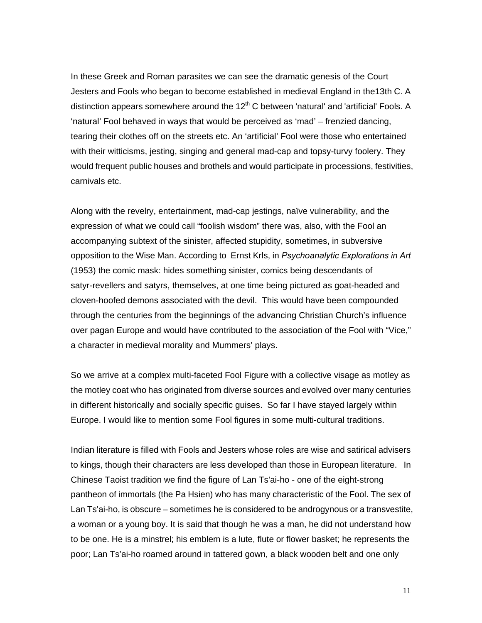In these Greek and Roman parasites we can see the dramatic genesis of the Court Jesters and Fools who began to become established in medieval England in the13th C. A distinction appears somewhere around the  $12<sup>th</sup>$  C between 'natural' and 'artificial' Fools. A 'natural' Fool behaved in ways that would be perceived as 'mad' – frenzied dancing, tearing their clothes off on the streets etc. An 'artificial' Fool were those who entertained with their witticisms, jesting, singing and general mad-cap and topsy-turvy foolery. They would frequent public houses and brothels and would participate in processions, festivities, carnivals etc.

Along with the revelry, entertainment, mad-cap jestings, naïve vulnerability, and the expression of what we could call "foolish wisdom" there was, also, with the Fool an accompanying subtext of the sinister, affected stupidity, sometimes, in subversive opposition to the Wise Man. According to Ernst Krls, in *Psychoanalytic Explorations in Art*  (1953) the comic mask: hides something sinister, comics being descendants of satyr-revellers and satyrs, themselves, at one time being pictured as goat-headed and cloven-hoofed demons associated with the devil. This would have been compounded through the centuries from the beginnings of the advancing Christian Church's influence over pagan Europe and would have contributed to the association of the Fool with "Vice," a character in medieval morality and Mummers' plays.

So we arrive at a complex multi-faceted Fool Figure with a collective visage as motley as the motley coat who has originated from diverse sources and evolved over many centuries in different historically and socially specific guises. So far I have stayed largely within Europe. I would like to mention some Fool figures in some multi-cultural traditions.

Indian literature is filled with Fools and Jesters whose roles are wise and satirical advisers to kings, though their characters are less developed than those in European literature. In Chinese Taoist tradition we find the figure of Lan Ts'ai-ho - one of the eight-strong pantheon of immortals (the Pa Hsien) who has many characteristic of the Fool. The sex of Lan Ts'ai-ho, is obscure – sometimes he is considered to be androgynous or a transvestite, a woman or a young boy. It is said that though he was a man, he did not understand how to be one. He is a minstrel; his emblem is a lute, flute or flower basket; he represents the poor; Lan Ts'ai-ho roamed around in tattered gown, a black wooden belt and one only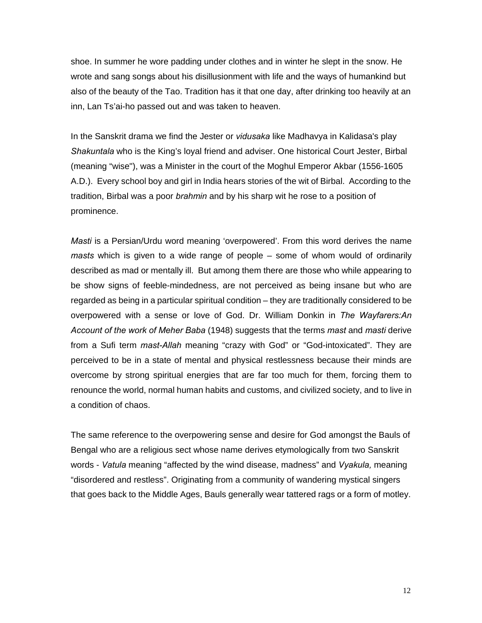shoe. In summer he wore padding under clothes and in winter he slept in the snow. He wrote and sang songs about his disillusionment with life and the ways of humankind but also of the beauty of the Tao. Tradition has it that one day, after drinking too heavily at an inn, Lan Ts'ai-ho passed out and was taken to heaven.

In the Sanskrit drama we find the Jester or *vidusaka* like Madhavya in Kalidasa's play *Shakuntala* who is the King's loyal friend and adviser. One historical Court Jester, Birbal (meaning "wise"), was a Minister in the court of the Moghul Emperor Akbar (1556-1605 A.D.). Every school boy and girl in India hears stories of the wit of Birbal. According to the tradition, Birbal was a poor *brahmin* and by his sharp wit he rose to a position of prominence.

*Masti* is a Persian/Urdu word meaning 'overpowered'. From this word derives the name *masts* which is given to a wide range of people – some of whom would of ordinarily described as mad or mentally ill. But among them there are those who while appearing to be show signs of feeble-mindedness, are not perceived as being insane but who are regarded as being in a particular spiritual condition – they are traditionally considered to be overpowered with a sense or love of God. Dr. William Donkin in *The Wayfarers:An Account of the work of Meher Baba* (1948) suggests that the terms *mast* and *masti* derive from a Sufi term *mast-Allah* meaning "crazy with God" or "God-intoxicated". They are perceived to be in a state of mental and physical restlessness because their minds are overcome by strong spiritual energies that are far too much for them, forcing them to renounce the world, normal human habits and customs, and civilized society, and to live in a condition of chaos.

The same reference to the overpowering sense and desire for God amongst the Bauls of Bengal who are a religious sect whose name derives etymologically from two Sanskrit words - *Vatula* meaning "affected by the wind disease, madness" and *Vyakula,* meaning "disordered and restless". Originating from a community of wandering mystical singers that goes back to the Middle Ages, Bauls generally wear tattered rags or a form of motley.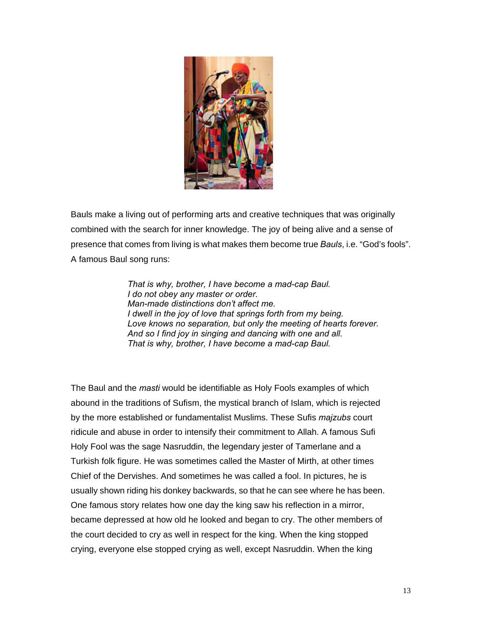

Bauls make a living out of performing arts and creative techniques that was originally combined with the search for inner knowledge. The joy of being alive and a sense of presence that comes from living is what makes them become true *Bauls*, i.e. "God's fools". A famous Baul song runs:

> *That is why, brother, I have become a mad-cap Baul. I do not obey any master or order. Man-made distinctions don't affect me. I dwell in the joy of love that springs forth from my being. Love knows no separation, but only the meeting of hearts forever. And so I find joy in singing and dancing with one and all. That is why, brother, I have become a mad-cap Baul.*

The Baul and the *masti* would be identifiable as Holy Fools examples of which abound in the traditions of Sufism, the mystical branch of Islam, which is rejected by the more established or fundamentalist Muslims. These Sufis *majzubs* court ridicule and abuse in order to intensify their commitment to Allah. A famous Sufi Holy Fool was the sage Nasruddin, the legendary jester of Tamerlane and a Turkish folk figure. He was sometimes called the Master of Mirth, at other times Chief of the Dervishes. And sometimes he was called a fool. In pictures, he is usually shown riding his donkey backwards, so that he can see where he has been. One famous story relates how one day the king saw his reflection in a mirror, became depressed at how old he looked and began to cry. The other members of the court decided to cry as well in respect for the king. When the king stopped crying, everyone else stopped crying as well, except Nasruddin. When the king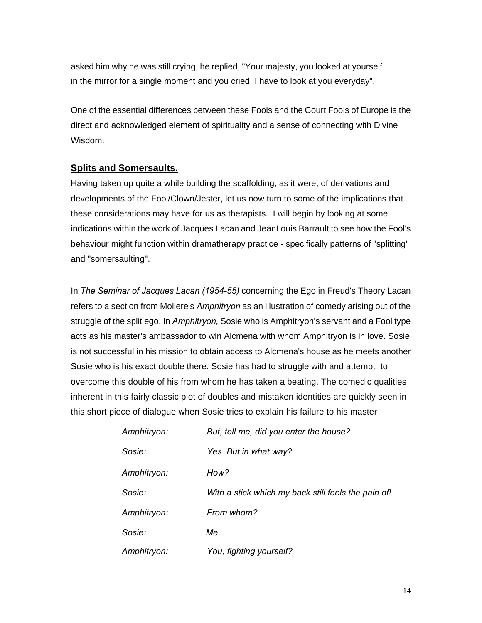asked him why he was still crying, he replied, "Your majesty, you looked at yourself in the mirror for a single moment and you cried. I have to look at you everyday".

One of the essential differences between these Fools and the Court Fools of Europe is the direct and acknowledged element of spirituality and a sense of connecting with Divine Wisdom.

### **Splits and Somersaults.**

Having taken up quite a while building the scaffolding, as it were, of derivations and developments of the Fool/Clown/Jester, let us now turn to some of the implications that these considerations may have for us as therapists. I will begin by looking at some indications within the work of Jacques Lacan and JeanLouis Barrault to see how the Fool's behaviour might function within dramatherapy practice - specifically patterns of "splitting" and "somersaulting".

In *The Seminar of Jacques Lacan (1954-55)* concerning the Ego in Freud's Theory Lacan refers to a section from Moliere's *Amphitryon* as an illustration of comedy arising out of the struggle of the split ego. In *Amphitryon,* Sosie who is Amphitryon's servant and a Fool type acts as his master's ambassador to win Alcmena with whom Amphitryon is in love. Sosie is not successful in his mission to obtain access to Alcmena's house as he meets another Sosie who is his exact double there. Sosie has had to struggle with and attempt to overcome this double of his from whom he has taken a beating. The comedic qualities inherent in this fairly classic plot of doubles and mistaken identities are quickly seen in this short piece of dialogue when Sosie tries to explain his failure to his master

| Amphitryon: | But, tell me, did you enter the house?              |  |
|-------------|-----------------------------------------------------|--|
| Sosie:      | Yes. But in what way?                               |  |
| Amphitryon: | How?                                                |  |
| Sosie:      | With a stick which my back still feels the pain of! |  |
| Amphitryon: | From whom?                                          |  |
| Sosie:      | Me.                                                 |  |
| Amphitryon: | You, fighting yourself?                             |  |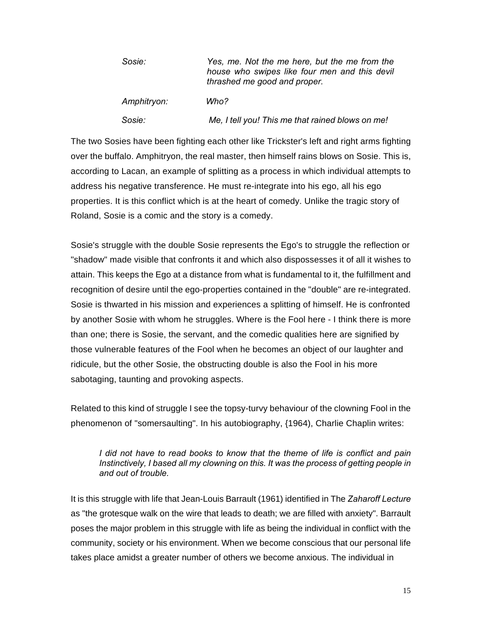| Sosie: |             | Yes, me. Not the me here, but the me from the<br>house who swipes like four men and this devil<br>thrashed me good and proper. |
|--------|-------------|--------------------------------------------------------------------------------------------------------------------------------|
|        | Amphitryon: | Who?                                                                                                                           |
| Sosie: |             | Me, I tell you! This me that rained blows on me!                                                                               |

The two Sosies have been fighting each other like Trickster's left and right arms fighting over the buffalo. Amphitryon, the real master, then himself rains blows on Sosie. This is, according to Lacan, an example of splitting as a process in which individual attempts to address his negative transference. He must re-integrate into his ego, all his ego properties. It is this conflict which is at the heart of comedy. Unlike the tragic story of Roland, Sosie is a comic and the story is a comedy.

Sosie's struggle with the double Sosie represents the Ego's to struggle the reflection or "shadow" made visible that confronts it and which also dispossesses it of all it wishes to attain. This keeps the Ego at a distance from what is fundamental to it, the fulfillment and recognition of desire until the ego-properties contained in the "double" are re-integrated. Sosie is thwarted in his mission and experiences a splitting of himself. He is confronted by another Sosie with whom he struggles. Where is the Fool here - I think there is more than one; there is Sosie, the servant, and the comedic qualities here are signified by those vulnerable features of the Fool when he becomes an object of our laughter and ridicule, but the other Sosie, the obstructing double is also the Fool in his more sabotaging, taunting and provoking aspects.

Related to this kind of struggle I see the topsy-turvy behaviour of the clowning Fool in the phenomenon of "somersaulting". In his autobiography, {1964), Charlie Chaplin writes:

*I did not have to read books to know that the theme of life is conflict and pain Instinctively, I based all my clowning on this. It was the process of getting people in and out of trouble.* 

It is this struggle with life that Jean-Louis Barrault (1961) identified in The *Zaharoff Lecture*  as "the grotesque walk on the wire that leads to death; we are filled with anxiety". Barrault poses the major problem in this struggle with life as being the individual in conflict with the community, society or his environment. When we become conscious that our personal life takes place amidst a greater number of others we become anxious. The individual in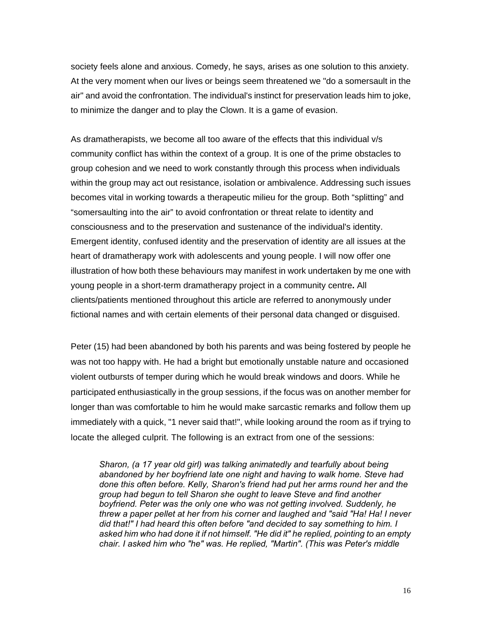society feels alone and anxious. Comedy, he says, arises as one solution to this anxiety. At the very moment when our lives or beings seem threatened we "do a somersault in the air" and avoid the confrontation. The individual's instinct for preservation leads him to joke, to minimize the danger and to play the Clown. It is a game of evasion.

As dramatherapists, we become all too aware of the effects that this individual v/s community conflict has within the context of a group. It is one of the prime obstacles to group cohesion and we need to work constantly through this process when individuals within the group may act out resistance, isolation or ambivalence. Addressing such issues becomes vital in working towards a therapeutic milieu for the group. Both "splitting" and "somersaulting into the air" to avoid confrontation or threat relate to identity and consciousness and to the preservation and sustenance of the individual's identity. Emergent identity, confused identity and the preservation of identity are all issues at the heart of dramatherapy work with adolescents and young people. I will now offer one illustration of how both these behaviours may manifest in work undertaken by me one with young people in a short-term dramatherapy project in a community centre**.** All clients/patients mentioned throughout this article are referred to anonymously under fictional names and with certain elements of their personal data changed or disguised.

Peter (15) had been abandoned by both his parents and was being fostered by people he was not too happy with. He had a bright but emotionally unstable nature and occasioned violent outbursts of temper during which he would break windows and doors. While he participated enthusiastically in the group sessions, if the focus was on another member for longer than was comfortable to him he would make sarcastic remarks and follow them up immediately with a quick, "1 never said that!", while looking around the room as if trying to locate the alleged culprit. The following is an extract from one of the sessions:

*Sharon, (a 17 year old girl) was talking animatedly and tearfully about being abandoned by her boyfriend late one night and having to walk home. Steve had done this often before. Kelly, Sharon's friend had put her arms round her and the group had begun to tell Sharon she ought to leave Steve and find another boyfriend. Peter was the only one who was not getting involved. Suddenly, he threw a paper pellet at her from his corner and laughed and "said "Ha! Ha! I never did that!" I had heard this often before "and decided to say something to him. I asked him who had done it if not himself. "He did it" he replied, pointing to an empty chair. I asked him who "he" was. He replied, "Martin". (This was Peter's middle*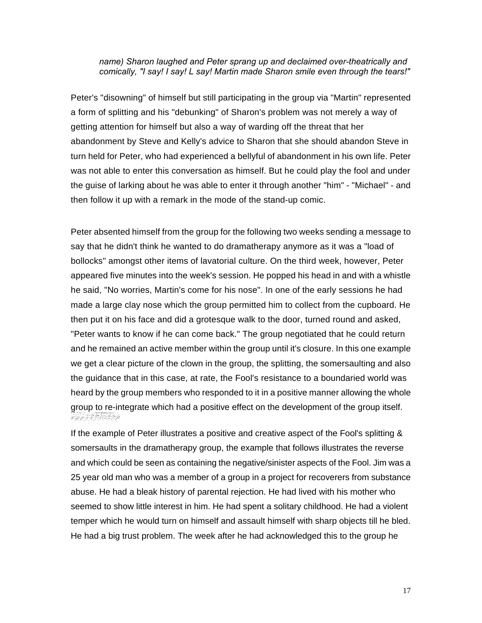#### *name) Sharon laughed and Peter sprang up and declaimed over-theatrically and comically, "I say! I say! L say! Martin made Sharon smile even through the tears!"*

Peter's "disowning" of himself but still participating in the group via "Martin" represented a form of splitting and his "debunking" of Sharon's problem was not merely a way of getting attention for himself but also a way of warding off the threat that her abandonment by Steve and Kelly's advice to Sharon that she should abandon Steve in turn held for Peter, who had experienced a bellyful of abandonment in his own life. Peter was not able to enter this conversation as himself. But he could play the fool and under the guise of larking about he was able to enter it through another "him" - "Michael" - and then follow it up with a remark in the mode of the stand-up comic.

Peter absented himself from the group for the following two weeks sending a message to say that he didn't think he wanted to do dramatherapy anymore as it was a "load of bollocks" amongst other items of lavatorial culture. On the third week, however, Peter appeared five minutes into the week's session. He popped his head in and with a whistle he said, "No worries, Martin's come for his nose". In one of the early sessions he had made a large clay nose which the group permitted him to collect from the cupboard. He then put it on his face and did a grotesque walk to the door, turned round and asked, "Peter wants to know if he can come back." The group negotiated that he could return and he remained an active member within the group until it's closure. In this one example we get a clear picture of the clown in the group, the splitting, the somersaulting and also the guidance that in this case, at rate, the Fool's resistance to a boundaried world was heard by the group members who responded to it in a positive manner allowing the whole group to re-integrate which had a positive effect on the development of the group itself. FRIERRES

If the example of Peter illustrates a positive and creative aspect of the Fool's splitting & somersaults in the dramatherapy group, the example that follows illustrates the reverse and which could be seen as containing the negative/sinister aspects of the Fool. Jim was a 25 year old man who was a member of a group in a project for recoverers from substance abuse. He had a bleak history of parental rejection. He had lived with his mother who seemed to show little interest in him. He had spent a solitary childhood. He had a violent temper which he would turn on himself and assault himself with sharp objects till he bled. He had a big trust problem. The week after he had acknowledged this to the group he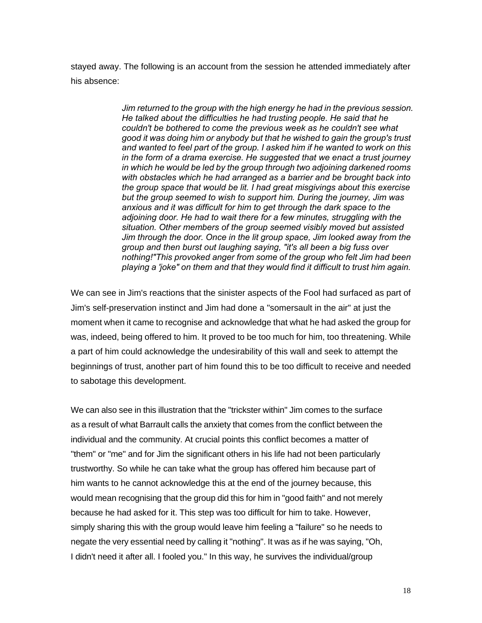stayed away. The following is an account from the session he attended immediately after his absence:

> *Jim returned to the group with the high energy he had in the previous session. He talked about the difficulties he had trusting people. He said that he couldn't be bothered to come the previous week as he couldn't see what good it was doing him or anybody but that he wished to gain the group's trust and wanted to feel part of the group. I asked him if he wanted to work on this in the form of a drama exercise. He suggested that we enact a trust journey in which he would be led by the group through two adjoining darkened rooms with obstacles which he had arranged as a barrier and be brought back into the group space that would be lit. I had great misgivings about this exercise but the group seemed to wish to support him. During the journey, Jim was anxious and it was difficult for him to get through the dark space to the adjoining door. He had to wait there for a few minutes, struggling with the situation. Other members of the group seemed visibly moved but assisted Jim through the door. Once in the lit group space, Jim looked away from the group and then burst out laughing saying, "it's all been a big fuss over nothing!" This provoked anger from some of the group who felt Jim had been playing a 'joke" on them and that they would find it difficult to trust him again.*

We can see in Jim's reactions that the sinister aspects of the Fool had surfaced as part of Jim's self-preservation instinct and Jim had done a "somersault in the air" at just the moment when it came to recognise and acknowledge that what he had asked the group for was, indeed, being offered to him. It proved to be too much for him, too threatening. While a part of him could acknowledge the undesirability of this wall and seek to attempt the beginnings of trust, another part of him found this to be too difficult to receive and needed to sabotage this development.

We can also see in this illustration that the "trickster within" Jim comes to the surface as a result of what Barrault calls the anxiety that comes from the conflict between the individual and the community. At crucial points this conflict becomes a matter of "them" or "me" and for Jim the significant others in his life had not been particularly trustworthy. So while he can take what the group has offered him because part of him wants to he cannot acknowledge this at the end of the journey because, this would mean recognising that the group did this for him in "good faith" and not merely because he had asked for it. This step was too difficult for him to take. However, simply sharing this with the group would leave him feeling a "failure" so he needs to negate the very essential need by calling it "nothing". It was as if he was saying, "Oh, I didn't need it after all. I fooled you." In this way, he survives the individual/group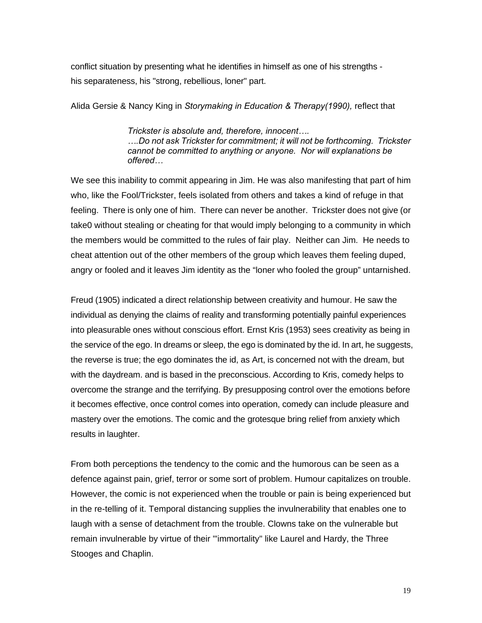conflict situation by presenting what he identifies in himself as one of his strengths his separateness, his "strong, rebellious, loner" part.

Alida Gersie & Nancy King in *Storymaking in Education & Therapy(1990),* reflect that

*Trickster is absolute and, therefore, innocent…. ….Do not ask Trickster for commitment; it will not be forthcoming. Trickster cannot be committed to anything or anyone. Nor will explanations be offered…* 

We see this inability to commit appearing in Jim. He was also manifesting that part of him who, like the Fool/Trickster, feels isolated from others and takes a kind of refuge in that feeling. There is only one of him. There can never be another. Trickster does not give (or take0 without stealing or cheating for that would imply belonging to a community in which the members would be committed to the rules of fair play. Neither can Jim. He needs to cheat attention out of the other members of the group which leaves them feeling duped, angry or fooled and it leaves Jim identity as the "loner who fooled the group" untarnished.

Freud (1905) indicated a direct relationship between creativity and humour. He saw the individual as denying the claims of reality and transforming potentially painful experiences into pleasurable ones without conscious effort. Ernst Kris (1953) sees creativity as being in the service of the ego. In dreams or sleep, the ego is dominated by the id. In art, he suggests, the reverse is true; the ego dominates the id, as Art, is concerned not with the dream, but with the daydream. and is based in the preconscious. According to Kris, comedy helps to overcome the strange and the terrifying. By presupposing control over the emotions before it becomes effective, once control comes into operation, comedy can include pleasure and mastery over the emotions. The comic and the grotesque bring relief from anxiety which results in laughter.

From both perceptions the tendency to the comic and the humorous can be seen as a defence against pain, grief, terror or some sort of problem. Humour capitalizes on trouble. However, the comic is not experienced when the trouble or pain is being experienced but in the re-telling of it. Temporal distancing supplies the invulnerability that enables one to laugh with a sense of detachment from the trouble. Clowns take on the vulnerable but remain invulnerable by virtue of their "'immortality" like Laurel and Hardy, the Three Stooges and Chaplin.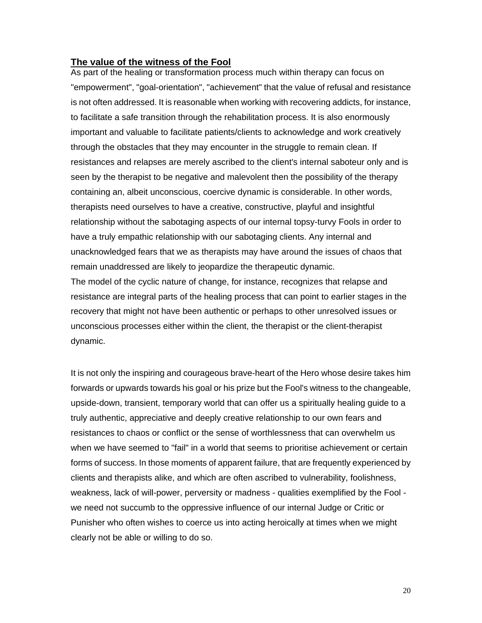## **The value of the witness of the Fool**

As part of the healing or transformation process much within therapy can focus on "empowerment", "goal-orientation", "achievement" that the value of refusal and resistance is not often addressed. It is reasonable when working with recovering addicts, for instance, to facilitate a safe transition through the rehabilitation process. It is also enormously important and valuable to facilitate patients/clients to acknowledge and work creatively through the obstacles that they may encounter in the struggle to remain clean. If resistances and relapses are merely ascribed to the client's internal saboteur only and is seen by the therapist to be negative and malevolent then the possibility of the therapy containing an, albeit unconscious, coercive dynamic is considerable. In other words, therapists need ourselves to have a creative, constructive, playful and insightful relationship without the sabotaging aspects of our internal topsy-turvy Fools in order to have a truly empathic relationship with our sabotaging clients. Any internal and unacknowledged fears that we as therapists may have around the issues of chaos that remain unaddressed are likely to jeopardize the therapeutic dynamic. The model of the cyclic nature of change, for instance, recognizes that relapse and resistance are integral parts of the healing process that can point to earlier stages in the recovery that might not have been authentic or perhaps to other unresolved issues or

unconscious processes either within the client, the therapist or the client-therapist dynamic.

It is not only the inspiring and courageous brave-heart of the Hero whose desire takes him forwards or upwards towards his goal or his prize but the Fool's witness to the changeable, upside-down, transient, temporary world that can offer us a spiritually healing guide to a truly authentic, appreciative and deeply creative relationship to our own fears and resistances to chaos or conflict or the sense of worthlessness that can overwhelm us when we have seemed to "fail" in a world that seems to prioritise achievement or certain forms of success. In those moments of apparent failure, that are frequently experienced by clients and therapists alike, and which are often ascribed to vulnerability, foolishness, weakness, lack of will-power, perversity or madness - qualities exemplified by the Fool we need not succumb to the oppressive influence of our internal Judge or Critic or Punisher who often wishes to coerce us into acting heroically at times when we might clearly not be able or willing to do so.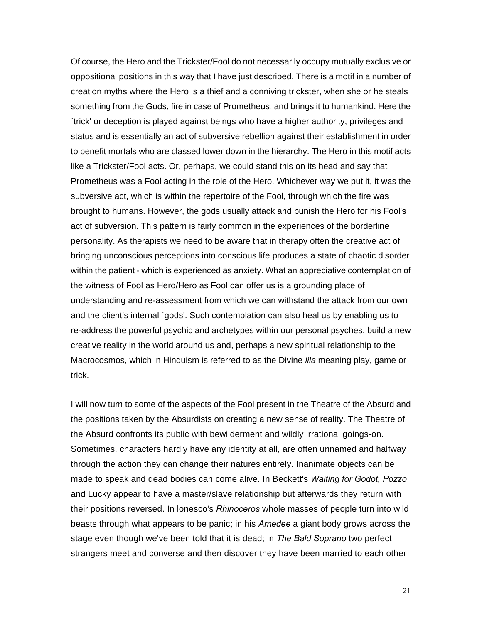Of course, the Hero and the Trickster/Fool do not necessarily occupy mutually exclusive or oppositional positions in this way that I have just described. There is a motif in a number of creation myths where the Hero is a thief and a conniving trickster, when she or he steals something from the Gods, fire in case of Prometheus, and brings it to humankind. Here the `trick' or deception is played against beings who have a higher authority, privileges and status and is essentially an act of subversive rebellion against their establishment in order to benefit mortals who are classed lower down in the hierarchy. The Hero in this motif acts like a Trickster/Fool acts. Or, perhaps, we could stand this on its head and say that Prometheus was a Fool acting in the role of the Hero. Whichever way we put it, it was the subversive act, which is within the repertoire of the Fool, through which the fire was brought to humans. However, the gods usually attack and punish the Hero for his Fool's act of subversion. This pattern is fairly common in the experiences of the borderline personality. As therapists we need to be aware that in therapy often the creative act of bringing unconscious perceptions into conscious life produces a state of chaotic disorder within the patient - which is experienced as anxiety. What an appreciative contemplation of the witness of Fool as Hero/Hero as Fool can offer us is a grounding place of understanding and re-assessment from which we can withstand the attack from our own and the client's internal `gods'. Such contemplation can also heal us by enabling us to re-address the powerful psychic and archetypes within our personal psyches, build a new creative reality in the world around us and, perhaps a new spiritual relationship to the Macrocosmos, which in Hinduism is referred to as the Divine *lila* meaning play, game or trick.

I will now turn to some of the aspects of the Fool present in the Theatre of the Absurd and the positions taken by the Absurdists on creating a new sense of reality. The Theatre of the Absurd confronts its public with bewilderment and wildly irrational goings-on. Sometimes, characters hardly have any identity at all, are often unnamed and halfway through the action they can change their natures entirely. Inanimate objects can be made to speak and dead bodies can come alive. In Beckett's *Waiting for Godot, Pozzo*  and Lucky appear to have a master/slave relationship but afterwards they return with their positions reversed. In lonesco's *Rhinoceros* whole masses of people turn into wild beasts through what appears to be panic; in his *Amedee* a giant body grows across the stage even though we've been told that it is dead; in *The Bald Soprano* two perfect strangers meet and converse and then discover they have been married to each other

21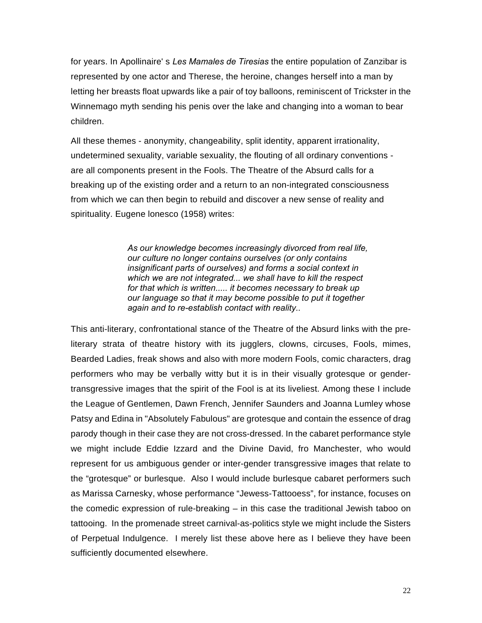for years. In Apollinaire' s *Les Mamales de Tiresias* the entire population of Zanzibar is represented by one actor and Therese, the heroine, changes herself into a man by letting her breasts float upwards like a pair of toy balloons, reminiscent of Trickster in the Winnemago myth sending his penis over the lake and changing into a woman to bear children.

All these themes - anonymity, changeability, split identity, apparent irrationality, undetermined sexuality, variable sexuality, the flouting of all ordinary conventions are all components present in the Fools. The Theatre of the Absurd calls for a breaking up of the existing order and a return to an non-integrated consciousness from which we can then begin to rebuild and discover a new sense of reality and spirituality. Eugene lonesco (1958) writes:

> *As our knowledge becomes increasingly divorced from real life, our culture no longer contains ourselves (or only contains insignificant parts of ourselves) and forms a social context in which we are not integrated... we shall have to kill the respect for that which is written..... it becomes necessary to break up our language so that it may become possible to put it together again and to re-establish contact with reality..*

This anti-literary, confrontational stance of the Theatre of the Absurd links with the preliterary strata of theatre history with its jugglers, clowns, circuses, Fools, mimes, Bearded Ladies, freak shows and also with more modern Fools, comic characters, drag performers who may be verbally witty but it is in their visually grotesque or gendertransgressive images that the spirit of the Fool is at its liveliest. Among these I include the League of Gentlemen, Dawn French, Jennifer Saunders and Joanna Lumley whose Patsy and Edina in "Absolutely Fabulous" are grotesque and contain the essence of drag parody though in their case they are not cross-dressed. In the cabaret performance style we might include Eddie Izzard and the Divine David, fro Manchester, who would represent for us ambiguous gender or inter-gender transgressive images that relate to the "grotesque" or burlesque. Also I would include burlesque cabaret performers such as Marissa Carnesky, whose performance "Jewess-Tattooess", for instance, focuses on the comedic expression of rule-breaking – in this case the traditional Jewish taboo on tattooing. In the promenade street carnival-as-politics style we might include the Sisters of Perpetual Indulgence. I merely list these above here as I believe they have been sufficiently documented elsewhere.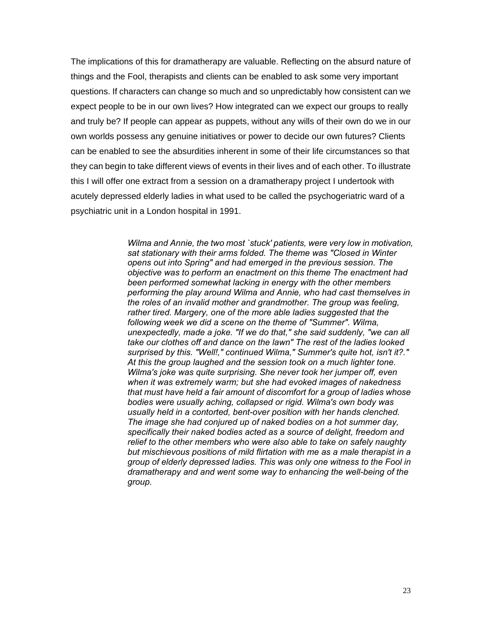The implications of this for dramatherapy are valuable. Reflecting on the absurd nature of things and the Fool, therapists and clients can be enabled to ask some very important questions. If characters can change so much and so unpredictably how consistent can we expect people to be in our own lives? How integrated can we expect our groups to really and truly be? If people can appear as puppets, without any wills of their own do we in our own worlds possess any genuine initiatives or power to decide our own futures? Clients can be enabled to see the absurdities inherent in some of their life circumstances so that they can begin to take different views of events in their lives and of each other. To illustrate this I will offer one extract from a session on a dramatherapy project I undertook with acutely depressed elderly ladies in what used to be called the psychogeriatric ward of a psychiatric unit in a London hospital in 1991.

> *Wilma and Annie, the two most `stuck' patients, were very low in motivation, sat stationary with their arms folded. The theme was "Closed in Winter opens out into Spring" and had emerged in the previous session. The objective was to perform an enactment on this theme The enactment had been performed somewhat lacking in energy with the other members performing the play around Wilma and Annie, who had cast themselves in the roles of an invalid mother and grandmother. The group was feeling, rather tired. Margery, one of the more able ladies suggested that the following week we did a scene on the theme of "Summer". Wilma, unexpectedly, made a joke. "If we do that," she said suddenly, "we can all take our clothes off and dance on the lawn" The rest of the ladies looked surprised by this. "Well!," continued Wilma," Summer's quite hot, isn't it?." At this the group laughed and the session took on a much lighter tone. Wilma's joke was quite surprising. She never took her jumper off, even when it was extremely warm; but she had evoked images of nakedness that must have held a fair amount of discomfort for a group of ladies whose bodies were usually aching, collapsed or rigid. Wilma's own body was usually held in a contorted, bent-over position with her hands clenched. The image she had conjured up of naked bodies on a hot summer day, specifically their naked bodies acted as a source of delight, freedom and relief to the other members who were also able to take on safely naughty but mischievous positions of mild flirtation with me as a male therapist in a group of elderly depressed ladies. This was only one witness to the Fool in dramatherapy and and went some way to enhancing the well-being of the group.*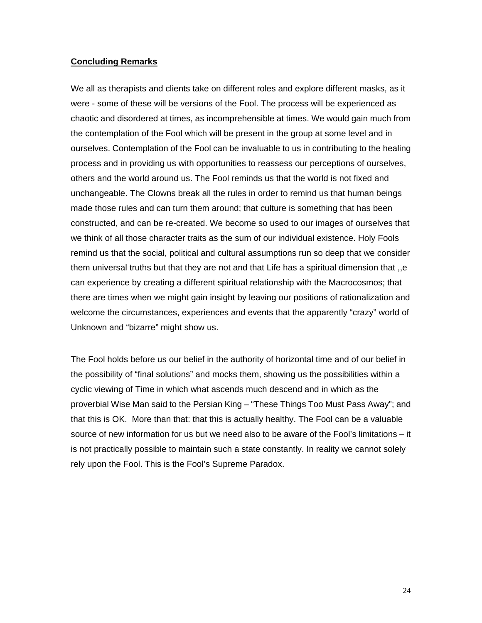#### **Concluding Remarks**

We all as therapists and clients take on different roles and explore different masks, as it were - some of these will be versions of the Fool. The process will be experienced as chaotic and disordered at times, as incomprehensible at times. We would gain much from the contemplation of the Fool which will be present in the group at some level and in ourselves. Contemplation of the Fool can be invaluable to us in contributing to the healing process and in providing us with opportunities to reassess our perceptions of ourselves, others and the world around us. The Fool reminds us that the world is not fixed and unchangeable. The Clowns break all the rules in order to remind us that human beings made those rules and can turn them around; that culture is something that has been constructed, and can be re-created. We become so used to our images of ourselves that we think of all those character traits as the sum of our individual existence. Holy Fools remind us that the social, political and cultural assumptions run so deep that we consider them universal truths but that they are not and that Life has a spiritual dimension that ,,e can experience by creating a different spiritual relationship with the Macrocosmos; that there are times when we might gain insight by leaving our positions of rationalization and welcome the circumstances, experiences and events that the apparently "crazy" world of Unknown and "bizarre" might show us.

The Fool holds before us our belief in the authority of horizontal time and of our belief in the possibility of "final solutions" and mocks them, showing us the possibilities within a cyclic viewing of Time in which what ascends much descend and in which as the proverbial Wise Man said to the Persian King – "These Things Too Must Pass Away"; and that this is OK. More than that: that this is actually healthy. The Fool can be a valuable source of new information for us but we need also to be aware of the Fool's limitations – it is not practically possible to maintain such a state constantly. In reality we cannot solely rely upon the Fool. This is the Fool's Supreme Paradox.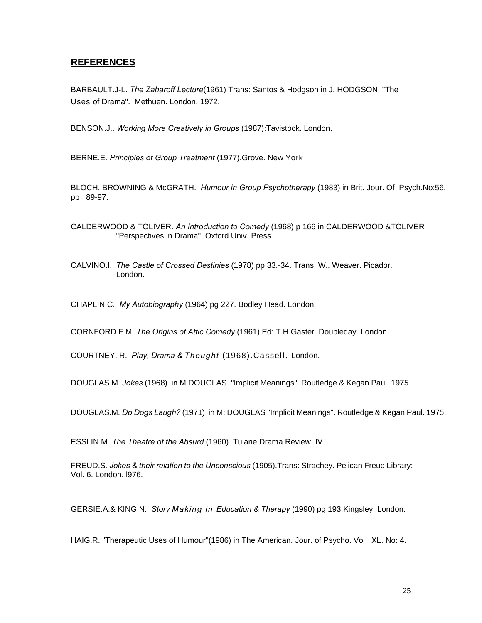# **REFERENCES**

BARBAULT.J-L. *The Zaharoff Lecture*(1961) Trans: Santos & Hodgson in J. HODGSON: "The Uses of Drama". Methuen. London. 1972.

BENSON.J.. *Working More Creatively in Groups* (1987):Tavistock. London.

BERNE.E*. Principles of Group Treatment* (1977).Grove. New York

BLOCH, BROWNING & McGRATH. *Humour in Group Psychotherapy* (1983) in Brit. Jour. Of Psych.No:56. pp 89-97.

CALDERWOOD & TOLIVER. *An Introduction to Comedy* (1968) p 166 in CALDERWOOD &TOLIVER "Perspectives in Drama". Oxford Univ. Press.

CALVINO.I. *The Castle of Crossed Destinies* (1978) pp 33.-34. Trans: W.. Weaver. Picador. London.

CHAPLIN.C. *My Autobiography* (1964) pg 227. Bodley Head. London.

CORNFORD.F.M. *The Origins of Attic Comedy* (1961) Ed: T.H.Gaster. Doubleday. London.

COURTNEY. R. *Play, Drama & Thought* (1968).Cassell. London.

DOUGLAS.M. *Jokes* (1968) in M.DOUGLAS. "Implicit Meanings". Routledge & Kegan Paul. 1975.

DOUGLAS.M*. Do Dogs Laugh?* (1971) in M: DOUGLAS "Implicit Meanings". Routledge & Kegan Paul. 1975.

ESSLIN.M. *The Theatre of the Absurd* (1960). Tulane Drama Review. IV.

FREUD.S*. Jokes & their relation to the Unconscious* (1905).Trans: Strachey. Pelican Freud Library: Vol. 6. London. l976.

GERSIE.A.& KING.N*. Story Making in Education & Therapy* (1990) pg 193.Kingsley: London.

HAIG.R. "Therapeutic Uses of Humour"(1986) in The American. Jour. of Psycho. Vol. XL. No: 4.